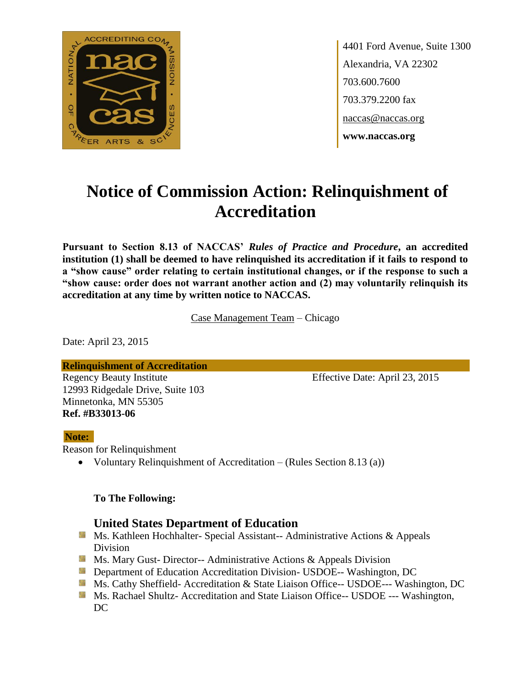

4401 Ford Avenue, Suite 1300 Alexandria, VA 22302 703.600.7600 703.379.2200 fax naccas@naccas.org **www.naccas.org**

# **Notice of Commission Action: Relinquishment of Accreditation**

**Pursuant to Section 8.13 of NACCAS'** *Rules of Practice and Procedure***, an accredited institution (1) shall be deemed to have relinquished its accreditation if it fails to respond to a "show cause" order relating to certain institutional changes, or if the response to such a "show cause: order does not warrant another action and (2) may voluntarily relinquish its accreditation at any time by written notice to NACCAS.**

Case Management Team – Chicago

Date: April 23, 2015

**Relinquishment of Accreditation**

12993 Ridgedale Drive, Suite 103 Minnetonka, MN 55305 **Ref. #B33013-06**

Regency Beauty Institute Effective Date: April 23, 2015

#### **Note:**

Reason for Relinquishment

Voluntary Relinquishment of Accreditation – (Rules Section 8.13 (a))

#### **To The Following:**

### **United States Department of Education**

- **Ms. Kathleen Hochhalter- Special Assistant-- Administrative Actions & Appeals** Division
- **Ms. Mary Gust- Director-- Administrative Actions & Appeals Division**
- **Department of Education Accreditation Division- USDOE-- Washington, DC**
- Ms. Cathy Sheffield- Accreditation & State Liaison Office-- USDOE--- Washington, DC
- **MS. Rachael Shultz- Accreditation and State Liaison Office-- USDOE --- Washington,** DC